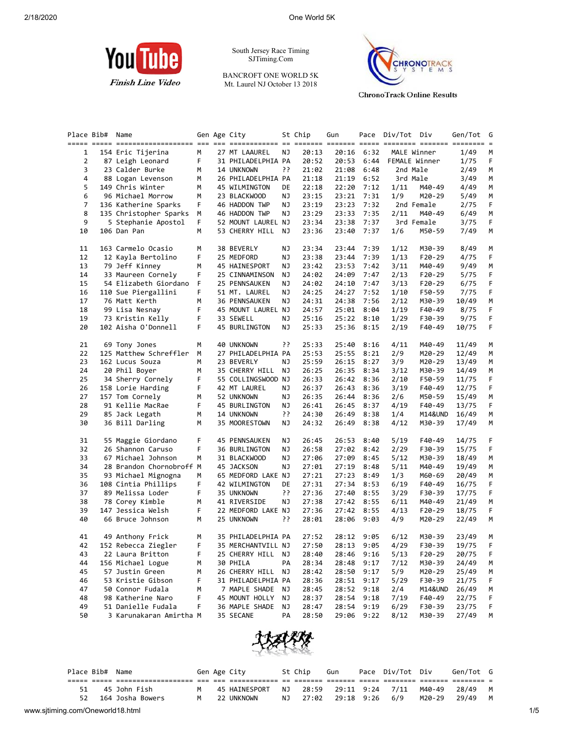

South Jersey Race Timing SJTiming.Com

BANCROFT ONE WORLD 5K Mt. Laurel NJ October 13 2018



**ChronoTrack Online Results** 

| Place Bib# | Name                                  |    | Gen Age City                     |    | St Chip        | Gun   |              | Pace Div/Tot Div |                  | Gen/Tot | G  |
|------------|---------------------------------------|----|----------------------------------|----|----------------|-------|--------------|------------------|------------------|---------|----|
|            |                                       |    |                                  |    |                |       |              |                  |                  |         |    |
| 1          | 154 Eric Tijerina                     | М  | 27 MT LAAUREL                    | ΝJ | 20:13          | 20:16 | 6:32         | MALE Winner      |                  | 1/49    | М  |
| 2          | 87 Leigh Leonard                      | F  | 31 PHILADELPHIA PA               |    | 20:52          | 20:53 | 6:44         | FEMALE Winner    |                  | 1/75    | F  |
| 3          | 23 Calder Burke                       | М  | 14 UNKNOWN                       | יִ | 21:02          | 21:08 | 6:48         | 2nd Male         |                  | 2/49    | М  |
| 4          | 88 Logan Levenson                     | М  | 26 PHILADELPHIA PA               |    | 21:18          | 21:19 | 6:52         | 3rd Male         |                  | 3/49    | М  |
| 5          | 149 Chris Winter                      | м  | 45 WILMINGTON                    | DE | 22:18          | 22:20 | 7:12         | 1/11             | M40-49           | 4/49    | М  |
| 6          | 96 Michael Morrow                     | М  | 23 BLACKWOOD                     | ΝJ | 23:15          | 23:21 | 7:31         | 1/9              | M20-29           | 5/49    | М  |
| 7          | 136 Katherine Sparks                  | F. | 46 HADDON TWP                    | ΝJ | 23:19          | 23:23 | 7:32         |                  | 2nd Female       | 2/75    | F  |
| 8          | 135 Christopher Sparks                | М  | 46 HADDON TWP                    | ΝJ | 23:29          | 23:33 | 7:35         | 2/11             | M40-49           | 6/49    | M  |
| 9          | 5 Stephanie Apostol                   | F. | 52 MOUNT LAUREL NJ               |    | 23:34          | 23:38 | 7:37         |                  | 3rd Female       | 3/75    | F. |
| 10         | 106 Dan Pan                           | М  | 53 CHERRY HILL                   | ΝJ | 23:36          | 23:40 | 7:37         | 1/6              | M50-59           | 7/49    | М  |
| 11         | 163 Carmelo Ocasio                    | м  | 38 BEVERLY                       | ΝJ | 23:34          | 23:44 | 7:39         | 1/12             | M30-39           | 8/49    | М  |
| 12         | 12 Kayla Bertolino                    | F  | 25 MEDFORD                       | ΝJ | 23:38          | 23:44 | 7:39         | 1/13             | $F20-29$         | 4/75    | F  |
| 13         | 79 Jeff Kinney                        | м  | 45 HAINESPORT                    | ΝJ | 23:42          | 23:53 | 7:42         | 3/11             | M40-49           | 9/49    | М  |
| 14         | 33 Maureen Cornely                    | F  | 25 CINNAMINSON                   | ΝJ | 24:02          | 24:09 | 7:47         | 2/13             | F20-29           | 5/75    | F  |
| 15         | 54 Elizabeth Giordano                 | F  | 25 PENNSAUKEN                    | ΝJ | 24:02          | 24:10 | 7:47         | 3/13             | F20-29           | 6/75    | F  |
| 16         | 110 Sue Piergallini                   | F  | 51 MT. LAUREL                    | ΝJ | 24:25          | 24:27 | 7:52         | 1/10             | F50-59           | 7/75    | F  |
| 17         | 76 Matt Kerth                         | М  | 36 PENNSAUKEN                    | ΝJ | 24:31          | 24:38 | 7:56         | 2/12             | M30-39           | 10/49   | М  |
| 18         | 99 Lisa Nesnay                        | F  | 45 MOUNT LAUREL NJ               |    | 24:57          | 25:01 | 8:04         | 1/19             | F40-49           | 8/75    | F  |
| 19         | 73 Kristin Kelly                      | F  | 33 SEWELL                        | ΝJ | 25:16          | 25:22 | 8:10         | 1/29             | F30-39           | 9/75    | F  |
| 20         | 102 Aisha O'Donnell                   | F  | 45 BURLINGTON                    | ΝJ | 25:33          |       | 25:36 8:15   | 2/19             | F40-49           | 10/75   | F  |
| 21         | 69 Tony Jones                         | м  | 40 UNKNOWN                       | יִ | 25:33          | 25:40 | 8:16         | 4/11             | M40-49           | 11/49   | M  |
| 22         | 125 Matthew Schreffler                | М  | 27 PHILADELPHIA PA               |    | 25:53          | 25:55 | 8:21         | 2/9              | M20-29           | 12/49   | М  |
| 23         | 162 Lucus Souza                       | М  | 23 BEVERLY                       | ΝJ | 25:59          | 26:15 | 8:27         | 3/9              | M20-29           | 13/49   | M  |
| 24         | 20 Phil Boyer                         | м  | 35 CHERRY HILL                   | ΝJ | 26:25          | 26:35 | 8:34         | 3/12             | M30-39           | 14/49   | M  |
| 25         | 34 Sherry Cornely                     | F  | 55 COLLINGSWOOD NJ               |    | 26:33          | 26:42 | 8:36         | 2/10             | F50-59           | 11/75   | F  |
| 26         | 158 Lorie Harding                     | F  | 42 MT LAUREL                     | ΝJ | 26:37          | 26:43 | 8:36         | 3/19             | F40-49           | 12/75   | F  |
| 27         | 157 Tom Cornely                       | м  | 52 UNKNOWN                       | ΝJ | 26:35          | 26:44 | 8:36         | 2/6              | M50-59           | 15/49   | М  |
| 28         | 91 Kellie MacRae                      | F  | 45 BURLINGTON                    | ΝJ | 26:41          | 26:45 | 8:37         | 4/19             | F40-49           | 13/75   | F  |
| 29         | 85 Jack Legath                        | м  | 14 UNKNOWN                       | ?? | 24:30          | 26:49 | 8:38         | 1/4              | M14&UND          | 16/49   | М  |
| 30         | 36 Bill Darling                       | М  | 35 MOORESTOWN                    | ΝJ | 24:32          | 26:49 | 8:38         | 4/12             | M30-39           | 17/49   | М  |
| 31         | 55 Maggie Giordano                    | F  | 45 PENNSAUKEN                    | ΝJ | 26:45          | 26:53 | 8:40         | 5/19             | F40-49           | 14/75   | F  |
| 32         | 26 Shannon Caruso                     | F  | 36 BURLINGTON                    | ΝJ | 26:58          | 27:02 | 8:42         | 2/29             | F30-39           | 15/75   | F  |
| 33         | 67 Michael Johnson                    | М  | 31 BLACKWOOD                     | ΝJ | 27:06          | 27:09 | 8:45         | 5/12             | M30-39           | 18/49   | M  |
| 34         | 28 Brandon Chornobroff M              |    | 45 JACKSON                       | ΝJ | 27:01          | 27:19 | 8:48         | 5/11             | M40-49           | 19/49   | M  |
| 35         | 93 Michael Mignogna                   | м  | 65 MEDFORD LAKE NJ               |    | 27:21          | 27:23 | 8:49         | 1/3              | M60-69           | 20/49   | М  |
| 36         | 108 Cintia Phillips                   | F  | 42 WILMINGTON                    | DE | 27:31          | 27:34 | 8:53         | 6/19             | F40-49           | 16/75   | F  |
| 37         | 89 Melissa Loder                      | F  | 35 UNKNOWN                       | יִ | 27:36          | 27:40 | 8:55         | 3/29             | F30-39           | 17/75   | F  |
| 38         | 78 Corey Kimble                       | м  | 41 RIVERSIDE                     | ΝJ | 27:38          |       | 27:42 8:55   | 6/11             | M40-49           | 21/49   | М  |
| 39         | 147 Jessica Welsh                     | F  | 22 MEDFORD LAKE NJ               |    | 27:36          | 27:42 | 8:55         | 4/13             | $F20-29$         | 18/75   | F  |
| 40         | 66 Bruce Johnson                      | М  | 25 UNKNOWN                       | יִ | 28:01          | 28:06 | 9:03         | 4/9              | M20-29           | 22/49   | М  |
| 41         | 49 Anthony Frick                      | М  | 35 PHILADELPHIA PA               |    | 27:52          |       | 28:12 9:05   | 6/12             | M30-39           | 23/49   | M  |
| 42         | 152 Rebecca Ziegler                   | F. | 35 MERCHANTVILL NJ               |    | 27:50          |       | 28:13 9:05   | 4/29             | F30-39           | 19/75   | F  |
|            |                                       |    | 25 CHERRY HILL NJ                |    |                |       | 28:46 9:16   |                  |                  |         |    |
| 43         | 22 Laura Britton<br>156 Michael Logue | F  |                                  |    | 28:40<br>28:34 |       |              | 5/13             | F20-29           | 20/75   | F  |
| 44         |                                       | М  | 30 PHILA<br>26 CHERRY HILL       | PA |                | 28:48 | 9:17         | 7/12             | M30-39           | 24/49   | M  |
| 45         | 57 Justin Green<br>53 Kristie Gibson  | м  |                                  | ΝJ | 28:42          | 28:50 | 9:17<br>9:17 | 5/9              | M20-29           | 25/49   | M  |
| 46         |                                       | F  | 31 PHILADELPHIA PA               |    | 28:36          | 28:51 |              | 5/29             | F30-39           | 21/75   | F  |
| 47         | 50 Connor Fudala                      | м  | 7 MAPLE SHADE                    | ΝJ | 28:45          | 28:52 | 9:18         | 2/4              | M14&UND          | 26/49   | M  |
| 48         | 98 Katherine Naro                     | F  | 45 MOUNT HOLLY<br>36 MAPLE SHADE | ΝJ | 28:37<br>28:47 | 28:54 | 9:18         | 7/19             | F40-49<br>F30-39 | 22/75   | F  |
| 49         | 51 Danielle Fudala                    | F  |                                  | ΝJ |                | 28:54 | 9:19         | 6/29             |                  | 23/75   | F  |
| 50         | 3 Karunakaran Amirtha M               |    | 35 SECANE                        | PA | 28:50          | 29:06 | 9:22         | 8/12             | M30-39           | 27/49   | М  |



|                                  |     | Place Bib# Name |              |                  |   | Gen Age City  |    | St Chip              | Gun                   | Pace Div/Tot Div |        | Gen/Tot G |   |     |
|----------------------------------|-----|-----------------|--------------|------------------|---|---------------|----|----------------------|-----------------------|------------------|--------|-----------|---|-----|
|                                  |     |                 |              |                  |   |               |    |                      |                       |                  |        |           |   |     |
|                                  |     |                 | 45 John Fish |                  | M | 45 HAINESPORT | NJ |                      | 28:59 29:11 9:24 7/11 |                  | M40-49 | 28/49 M   |   |     |
|                                  | 52. |                 |              | 164 Josha Bowers | M | 22 UNKNOWN    | NJ | 27:02 29:18 9:26 6/9 |                       |                  | M20-29 | 29/49     | M |     |
| www.sjtiming.com/Oneworld18.html |     |                 |              |                  |   |               |    |                      |                       |                  |        |           |   | 1/5 |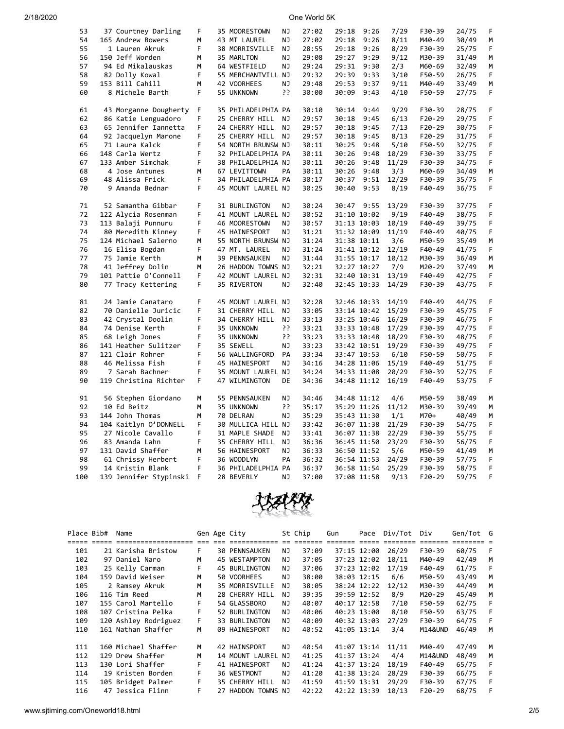| 53  | 37 Courtney Darling    | F | 35 MOORESTOWN      | ΝJ        | 27:02 | 29:18       | 9:26        | 7/29  | F30-39 | 24/75 | F |
|-----|------------------------|---|--------------------|-----------|-------|-------------|-------------|-------|--------|-------|---|
| 54  | 165 Andrew Bowers      | М | 43 MT LAUREL       | NJ        | 27:02 | 29:18       | 9:26        | 8/11  | M40-49 | 30/49 | M |
| 55  | 1 Lauren Akruk         | F | 38 MORRISVILLE     | NJ        | 28:55 | 29:18       | 9:26        | 8/29  | F30-39 | 25/75 | F |
| 56  | 150 Jeff Worden        | М | 35 MARLTON         | NJ        | 29:08 | 29:27       | 9:29        | 9/12  | M30-39 | 31/49 | М |
| 57  | 94 Ed Mikalauskas      | M | 64 WESTFIELD       | NJ        | 29:24 | 29:31       | 9:30        | 2/3   | M60-69 | 32/49 | M |
| 58  | 82 Dolly Kowal         | F | 55 MERCHANTVILL NJ |           | 29:32 | 29:39       | 9:33        | 3/10  | F50-59 | 26/75 | F |
|     |                        |   |                    |           |       |             |             |       |        |       |   |
| 59  | 153 Bill Cahill        | M | 42 VOORHEES        | ΝJ        | 29:48 | 29:53       | 9:37        | 9/11  | M40-49 | 33/49 | М |
| 60  | 8 Michele Barth        | F | 55 UNKNOWN         | יִ        | 30:00 | 30:09       | 9:43        | 4/10  | F50-59 | 27/75 | F |
| 61  | 43 Morganne Dougherty  | F | 35 PHILADELPHIA PA |           | 30:10 | 30:14       | 9:44        | 9/29  | F30-39 | 28/75 | F |
| 62  | 86 Katie Lenguadoro    | F | 25 CHERRY HILL     | NJ        | 29:57 | 30:18       | 9:45        | 6/13  | F20-29 | 29/75 | F |
| 63  | 65 Jennifer Iannetta   | F | 24 CHERRY HILL     | NJ        | 29:57 | 30:18       | 9:45        | 7/13  | F20-29 | 30/75 | F |
| 64  | 92 Jacquelyn Marone    | F | 25 CHERRY HILL     | ΝJ        | 29:57 | 30:18       | 9:45        | 8/13  | F20-29 | 31/75 | F |
| 65  | 71 Laura Kalck         | F | 54 NORTH BRUNSW NJ |           | 30:11 | 30:25       | 9:48        | 5/10  | F50-59 | 32/75 | F |
| 66  | 148 Carla Wertz        | F | 32 PHILADELPHIA PA |           | 30:11 | 30:26       | 9:48        | 10/29 | F30-39 | 33/75 | F |
| 67  | 133 Amber Simchak      | F | 38 PHILADELPHIA NJ |           | 30:11 | 30:26       | 9:48        | 11/29 | F30-39 | 34/75 | F |
|     |                        |   |                    |           |       |             |             |       |        |       |   |
| 68  | 4 Jose Antunes         | М | 67 LEVITTOWN       | PA        | 30:11 | 30:26       | 9:48        | 3/3   | M60-69 | 34/49 | M |
| 69  | 48 Alissa Frick        | F | 34 PHILADELPHIA PA |           | 30:17 | 30:37       | 9:51        | 12/29 | F30-39 | 35/75 | F |
| 70  | 9 Amanda Bednar        | F | 45 MOUNT LAUREL NJ |           | 30:25 | 30:40       | 9:53        | 8/19  | F40-49 | 36/75 | F |
| 71  | 52 Samantha Gibbar     | F | 31 BURLINGTON      | ΝJ        | 30:24 | 30:47       | 9:55        | 13/29 | F30-39 | 37/75 | F |
| 72  | 122 Alycia Rosenman    | F | 41 MOUNT LAUREL NJ |           | 30:52 | 31:10 10:02 |             | 9/19  | F40-49 | 38/75 | F |
|     |                        | F |                    |           |       |             |             |       |        |       |   |
| 73  | 113 Balaji Punnuru     |   | 46 MOORESTOWN      | <b>NJ</b> | 30:57 | 31:13 10:03 |             | 10/19 | F40-49 | 39/75 | F |
| 74  | 80 Meredith Kinney     | F | 45 HAINESPORT      | ΝJ        | 31:21 | 31:32 10:09 |             | 11/19 | F40-49 | 40/75 | F |
| 75  | 124 Michael Salerno    | М | 55 NORTH BRUNSW NJ |           | 31:24 | 31:38 10:11 |             | 3/6   | M50-59 | 35/49 | М |
| 76  | 16 Elisa Bogdan        | F | 47 MT. LAUREL      | NJ        | 31:24 |             | 31:41 10:12 | 12/19 | F40-49 | 41/75 | F |
| 77  | 75 Jamie Kerth         | М | 39 PENNSAUKEN      | NJ        | 31:44 |             | 31:55 10:17 | 10/12 | M30-39 | 36/49 | М |
| 78  | 41 Jeffrey Dolin       | М | 26 HADDON TOWNS NJ |           | 32:21 | 32:27 10:27 |             | 7/9   | M20-29 | 37/49 | М |
| 79  | 101 Pattie O'Connell   | F | 42 MOUNT LAUREL NJ |           | 32:31 | 32:40 10:31 |             | 13/19 | F40-49 | 42/75 | F |
| 80  | 77 Tracy Kettering     | F | 35 RIVERTON        | ΝJ        | 32:40 | 32:45 10:33 |             | 14/29 | F30-39 | 43/75 | F |
| 81  | 24 Jamie Canataro      | F | 45 MOUNT LAUREL NJ |           | 32:28 | 32:46 10:33 |             | 14/19 | F40-49 | 44/75 | F |
| 82  | 70 Danielle Juricic    | F | 31 CHERRY HILL     | ΝJ        | 33:05 | 33:14 10:42 |             | 15/29 | F30-39 | 45/75 | F |
| 83  | 42 Crystal Doolin      | F |                    | NJ        | 33:13 |             |             |       |        |       | F |
|     |                        |   | 34 CHERRY HILL     |           |       |             | 33:25 10:46 | 16/29 | F30-39 | 46/75 |   |
| 84  | 74 Denise Kerth        | F | 35 UNKNOWN         | יִ        | 33:21 |             | 33:33 10:48 | 17/29 | F30-39 | 47/75 | F |
| 85  | 68 Leigh Jones         | F | 35 UNKNOWN         | ??        | 33:23 | 33:33 10:48 |             | 18/29 | F30-39 | 48/75 | F |
| 86  | 141 Heather Sulitzer   | F | 35 SEWELL          | NJ        | 33:23 |             | 33:42 10:51 | 19/29 | F30-39 | 49/75 | F |
| 87  | 121 Clair Rohrer       | F | 56 WALLINGFORD     | PA        | 33:34 | 33:47 10:53 |             | 6/10  | F50-59 | 50/75 | F |
| 88  | 46 Melissa Fish        | F | 45 HAINESPORT      | NJ        | 34:16 | 34:28 11:06 |             | 15/19 | F40-49 | 51/75 | F |
| 89  | 7 Sarah Bachner        | F | 35 MOUNT LAUREL NJ |           | 34:24 | 34:33 11:08 |             | 20/29 | F30-39 | 52/75 | F |
| 90  | 119 Christina Richter  | F | 47 WILMINGTON      | DE        | 34:36 |             | 34:48 11:12 | 16/19 | F40-49 | 53/75 | F |
| 91  | 56 Stephen Giordano    | M | 55 PENNSAUKEN      | NJ        | 34:46 | 34:48 11:12 |             | 4/6   | M50-59 | 38/49 | М |
| 92  | 10 Ed Beitz            | М | 35 UNKNOWN         | יִ        | 35:17 | 35:29 11:26 |             | 11/12 | M30-39 | 39/49 | М |
| 93  | 144 John Thomas        | M | 70 DELRAN          | NJ        | 35:29 | 35:43 11:30 |             | 1/1   | M70+   | 40/49 | M |
| 94  | 104 Kaitlyn O'DONNELL  | F | 30 MULLICA HILL NJ |           | 33:42 |             | 36:07 11:38 | 21/29 | F30-39 | 54/75 | F |
| 95  |                        | F |                    |           |       |             |             |       |        |       | F |
|     | 27 Nicole Cavallo      |   | 31 MAPLE SHADE     | NJ        | 33:41 | 36:07 11:38 |             | 22/29 | F30-39 | 55/75 |   |
| 96  | 83 Amanda Lahn         | F | 35 CHERRY HILL     | NJ        | 36:36 |             | 36:45 11:50 | 23/29 | F30-39 | 56/75 | F |
| 97  | 131 David Shaffer      | М | 56 HAINESPORT      | ΝJ        | 36:33 | 36:50 11:52 |             | 5/6   | M50-59 | 41/49 | М |
| 98  | 61 Chrissy Herbert     | F | 36 WOODLYN         | PA        | 36:32 | 36:54 11:53 |             | 24/29 | F30-39 | 57/75 | F |
| 99  | 14 Kristin Blank       | F | 36 PHILADELPHIA PA |           | 36:37 | 36:58 11:54 |             | 25/29 | F30-39 | 58/75 | F |
| 100 | 139 Jennifer Stypinski | F | 28 BEVERLY         | NJ        | 37:00 | 37:08 11:58 |             | 9/13  | F20-29 | 59/75 | F |



| Place Bib# | Name                 |    | Gen Age City         |     | St Chip | Gun         | Pace        | Div/Tot | Div                | Gen/Tot G |   |
|------------|----------------------|----|----------------------|-----|---------|-------------|-------------|---------|--------------------|-----------|---|
|            |                      |    |                      |     |         |             |             |         |                    |           |   |
| 101        | 21 Karisha Bristow   | F. | <b>30 PENNSAUKEN</b> | NJ. | 37:09   |             | 37:15 12:00 | 26/29   | F30-39             | 60/75     | F |
| 102        | 97 Daniel Naro       | м  | 45 WESTAMPTON        | ΝJ  | 37:05   |             | 37:23 12:02 | 10/11   | M40-49             | 42/49     | M |
| 103        | 25 Kelly Carman      | F  | <b>45 BURLINGTON</b> | NJ. | 37:06   |             | 37:23 12:02 | 17/19   | F40-49             | 61/75     | F |
| 104        | 159 David Weiser     | м  | 50 VOORHEES          | NJ. | 38:00   |             | 38:03 12:15 | 6/6     | M50-59             | 43/49     | м |
| 105        | 2 Ramsey Akruk       | M  | 35 MORRISVILLE       | ΝJ  | 38:05   |             | 38:24 12:22 | 12/12   | M30-39             | 44/49     | M |
| 106        | 116 Tim Reed         | м  | 28 CHERRY HILL       | NJ. | 39:35   |             | 39:59 12:52 | 8/9     | M20-29             | 45/49     | м |
| 107        | 155 Carol Martello   | F  | 54 GLASSBORO         | NJ. | 40:07   |             | 40:17 12:58 | 7/10    | F50-59             | 62/75     | F |
| 108        | 107 Cristina Pelka   | F  | 52 BURLINGTON        | ΝJ  | 40:06   |             | 40:23 13:00 | 8/10    | F50-59             | 63/75     |   |
| 109        | 120 Ashley Rodriguez | F. | 33 BURLINGTON        | ΝJ  | 40:09   |             | 40:32 13:03 | 27/29   | F30-39             | 64/75     | F |
| 110        | 161 Nathan Shaffer   | м  | 09 HAINESPORT        | NJ. | 40:52   | 41:05 13:14 |             | 3/4     | <b>M14&amp;UND</b> | 46/49     | м |
|            |                      |    |                      |     |         |             |             |         |                    |           |   |
| 111        | 160 Michael Shaffer  | М  | <b>42 HAINSPORT</b>  | ΝJ  | 40:54   |             | 41:07 13:14 | 11/11   | M40-49             | 47/49     | М |
| 112        | 129 Drew Shaffer     | м  | 14 MOUNT LAUREL NJ   |     | 41:25   |             | 41:37 13:24 | 4/4     | <b>M14&amp;UND</b> | 48/49     | M |
| 113        | 130 Lori Shaffer     | F  | 41 HAINESPORT        | NJ. | 41:24   |             | 41:37 13:24 | 18/19   | F40-49             | 65/75     |   |
| 114        | 19 Kristen Borden    | F  | 36 WESTMONT          | ΝJ  | 41:20   |             | 41:38 13:24 | 28/29   | F30-39             | 66/75     | F |
| 115        | 105 Bridget Palmer   | F  | 35 CHERRY HILL       | NJ  | 41:59   | 41:59 13:31 |             | 29/29   | F30-39             | 67/75     |   |
| 116        | 47 Jessica Flinn     | F  | 27 HADDON TOWNS NJ   |     | 42:22   | 42:22 13:39 |             | 10/13   | $F20-29$           | 68/75     |   |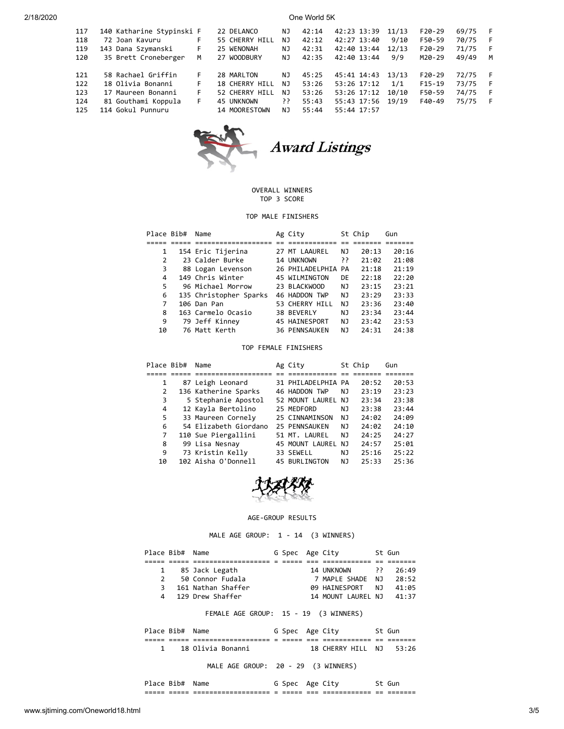| 117<br>118<br>119<br>120        | 140 Katharine Stypinski F<br>72 Joan Kavuru<br>143 Dana Szymanski<br>35 Brett Croneberger                 | F.<br>F.<br>м        | 22 DELANCO<br>55 CHERRY HILL<br>25 WENONAH<br>27 WOODBURY                     | NJ.<br>NJ<br>NJ<br>NJ      | 42:14<br>42:12<br>42:31<br>42:35          | 42:23 13:39<br>42:27 13:40<br>42:40 13:44<br>42:40 13:44                | 11/13<br>9/10<br>12/13<br>9/9  | $F20-29$<br>F50-59<br>$F20-29$<br>M20-29 | 69/75<br>70/75<br>71/75<br>49/49 | F<br>F<br>F<br>М |
|---------------------------------|-----------------------------------------------------------------------------------------------------------|----------------------|-------------------------------------------------------------------------------|----------------------------|-------------------------------------------|-------------------------------------------------------------------------|--------------------------------|------------------------------------------|----------------------------------|------------------|
| 121<br>122<br>123<br>124<br>125 | 58 Rachael Griffin<br>18 Olivia Bonanni<br>17 Maureen Bonanni<br>81 Gouthami Koppula<br>114 Gokul Punnuru | F.<br>F.<br>F.<br>F. | 28 MARLTON<br>18 CHERRY HILL<br>52 CHERRY HILL<br>45 UNKNOWN<br>14 MOORESTOWN | NJ<br>NJ<br>NJ<br>יִ<br>NJ | 45:25<br>53:26<br>53:26<br>55:43<br>55:44 | 45:41 14:43<br>53:26 17:12<br>53:26 17:12<br>55:43 17:56<br>55:44 17:57 | 13/13<br>1/1<br>10/10<br>19/19 | $F20-29$<br>$F15-19$<br>F50-59<br>F40-49 | 72/75<br>73/75<br>74/75<br>75/75 | F<br>F<br>F      |



### OVERALL WINNERS TOP 3 SCORE

### TOP MALE FINISHERS

| Place Bib# | Name                   | Ag City              |    | St Chip | Gun   |
|------------|------------------------|----------------------|----|---------|-------|
|            |                        |                      |    |         |       |
|            | 154 Eric Tijerina      | 27 MT LAAUREL        | ΝJ | 20:13   | 20:16 |
| 2          | 23 Calder Burke        | 14 UNKNOWN           | יִ | 21:02   | 21:08 |
| 3          | 88 Logan Levenson      | 26 PHILADELPHIA PA   |    | 21:18   | 21:19 |
| 4          | 149 Chris Winter       | 45 WILMINGTON        | DE | 22:18   | 22:20 |
| 5          | 96 Michael Morrow      | 23 BLACKWOOD         | ΝJ | 23:15   | 23:21 |
| 6          | 135 Christopher Sparks | 46 HADDON TWP        | NJ | 23:29   | 23:33 |
| 7          | 106 Dan Pan            | 53 CHERRY HILL       | ΝJ | 23:36   | 23:40 |
| 8          | 163 Carmelo Ocasio     | 38 BEVERLY           | ΝJ | 23:34   | 23:44 |
| 9          | 79 Jeff Kinney         | <b>45 HAINESPORT</b> | ΝJ | 23:42   | 23:53 |
| 10         | 76 Matt Kerth          | <b>36 PENNSAUKEN</b> | NJ | 24:31   | 24:38 |

#### TOP FEMALE FINISHERS

| Place Bib# | Name                  | Ag City              |     | St Chip | Gun   |
|------------|-----------------------|----------------------|-----|---------|-------|
|            |                       |                      |     |         |       |
| 1          | 87 Leigh Leonard      | 31 PHILADELPHIA PA   |     | 20:52   | 20:53 |
| 2          | 136 Katherine Sparks  | 46 HADDON TWP        | NJ. | 23:19   | 23:23 |
| 3          | 5 Stephanie Apostol   | 52 MOUNT LAUREL NJ   |     | 23:34   | 23:38 |
| 4          | 12 Kayla Bertolino    | 25 MEDFORD           | ΝJ  | 23:38   | 23:44 |
| 5          | 33 Maureen Cornely    | 25 CINNAMINSON       | NJ  | 24:02   | 24:09 |
| 6          | 54 Elizabeth Giordano | 25 PENNSAUKEN        | NJ  | 24:02   | 24:10 |
| 7          | 110 Sue Piergallini   | 51 MT. LAUREL        | NJ  | 24:25   | 24:27 |
| 8          | 99 Lisa Nesnay        | 45 MOUNT LAUREL      | NJ. | 24:57   | 25:01 |
| 9          | 73 Kristin Kelly      | 33 SEWELL            | ΝJ  | 25:16   | 25:22 |
| 10         | 102 Aisha O'Donnell   | <b>45 BURLINGTON</b> | NJ  | 25:33   | 25:36 |



#### AGE-GROUP RESULTS

MALE AGE GROUP: 1 - 14 (3 WINNERS)

| Place Bib# Name |                    | G Spec Age City |                        |     | St Gun |
|-----------------|--------------------|-----------------|------------------------|-----|--------|
|                 |                    |                 |                        |     |        |
|                 | 1 85 Jack Legath   |                 | 14 UNKNOWN             | ככ  | 26:49  |
| $\overline{2}$  | 50 Connor Fudala   |                 | 7 MAPLE SHADE NJ 28:52 |     |        |
| 3               | 161 Nathan Shaffer |                 | 09 HAINESPORT          | NJ. | 41:05  |
|                 | 4 129 Drew Shaffer |                 | 14 MOUNT LAUREL NJ     |     | 41:37  |

# FEMALE AGE GROUP: 15 - 19 (3 WINNERS)

| Place Bib# Name |                   | G Spec Age City |                         | St Gun |
|-----------------|-------------------|-----------------|-------------------------|--------|
|                 |                   |                 |                         |        |
|                 | 18 Olivia Bonanni |                 | 18 CHERRY HILL NJ 53:26 |        |

MALE AGE GROUP: 20 - 29 (3 WINNERS)

| _____      | _____ | -------------------- | $\overline{\phantom{0}}$ | ----- | $- -$ | ____________ | $-$ | ---     |
|------------|-------|----------------------|--------------------------|-------|-------|--------------|-----|---------|
| _____      | _____ | -------------------- | $\sim$                   | _____ | ___   | ____________ | --  | ------- |
| Place Rih# |       | Name                 |                          | spec  | A¤e   |              |     |         |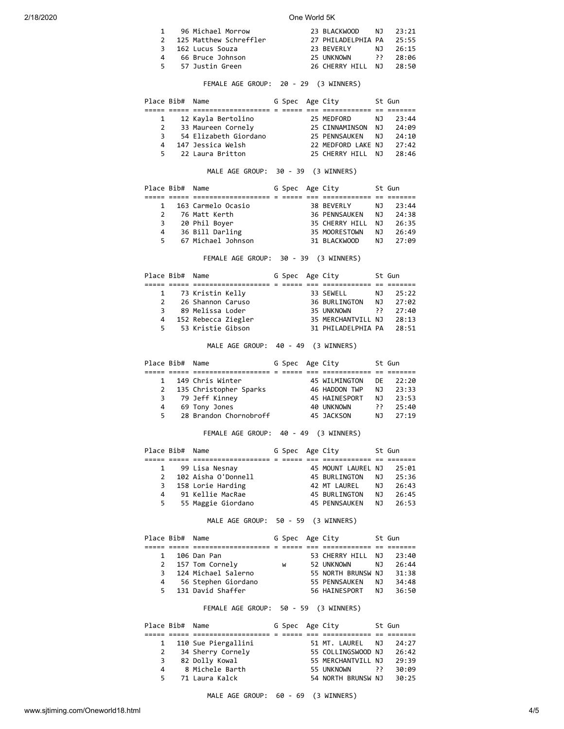|  | 1 96 Michael Morrow      | 23 BLACKWOOD NJ 23:21    |     |          |
|--|--------------------------|--------------------------|-----|----------|
|  | 2 125 Matthew Schreffler | 27 PHILADELPHIA PA 25:55 |     |          |
|  | 3 162 Lucus Souza        | 23 BEVERLY               | NJ. | 26:15    |
|  | 4 66 Bruce Johnson       | 25 UNKNOWN               |     | 28:06 וו |
|  | 5 57 Justin Green        | 26 CHERRY HILL NJ        |     | 28:50    |
|  |                          |                          |     |          |

# FEMALE AGE GROUP: 20 - 29 (3 WINNERS)

|   | Place Bib# Name |                       | G Spec Age City |                    |     | St Gun |
|---|-----------------|-----------------------|-----------------|--------------------|-----|--------|
|   |                 |                       |                 |                    |     |        |
|   |                 | 12 Kayla Bertolino    |                 | 25 MEDFORD         | NJ. | 23:44  |
|   | 2               | 33 Maureen Cornely    |                 | 25 CINNAMINSON NJ  |     | 24:09  |
|   | 3               | 54 Elizabeth Giordano |                 | 25 PENNSAUKEN      | N J | 24:10  |
|   | 4               | 147 Jessica Welsh     |                 | 22 MEDFORD LAKE NJ |     | 27:42  |
| 5 |                 | 22 Laura Britton      |                 | 25 CHERRY HTII     | N J | 28:46  |

MALE AGE GROUP: 30 - 39 (3 WINNERS)

| Place Bib# Name |                    | G Spec Age City |                  |     | St Gun |
|-----------------|--------------------|-----------------|------------------|-----|--------|
|                 |                    |                 |                  |     |        |
|                 | 163 Carmelo Ocasio |                 | 38 BEVERLY       | NJ. | 23:44  |
|                 | 76 Matt Kerth      |                 | 36 PENNSAUKEN NJ |     | 24:38  |
| 3               | 20 Phil Boyer      |                 | 35 CHERRY HILL   | N J | 26:35  |
| $\overline{4}$  | 36 Bill Darling    |                 | 35 MOORESTOWN    | NJ. | 26:49  |
| 5.              | 67 Michael Johnson |                 | 31 BLACKWOOD     | N J | 27:09  |

FEMALE AGE GROUP: 30 - 39 (3 WINNERS)

| Place Bib# Name |                     |  | G Spec Age City |                    |     | St Gun |
|-----------------|---------------------|--|-----------------|--------------------|-----|--------|
|                 |                     |  |                 |                    |     |        |
|                 | 1 73 Kristin Kelly  |  |                 | 33 SEWELL          | N J | 25:22  |
|                 | 26 Shannon Caruso   |  |                 | 36 BURLINGTON NJ   |     | 27:02  |
| 3               | 89 Melissa Loder    |  |                 | 35 UNKNOWN         | ج ج | 27:40  |
| 4               | 152 Rebecca Ziegler |  |                 | 35 MERCHANTVILL NJ |     | 28:13  |
|                 | 5 53 Kristie Gibson |  |                 | 31 PHILADELPHIA PA |     | 28:51  |

MALE AGE GROUP: 40 - 49 (3 WINNERS)

|   |    |                                                                                                      |                        |  |                                                                                                       | St Gun |
|---|----|------------------------------------------------------------------------------------------------------|------------------------|--|-------------------------------------------------------------------------------------------------------|--------|
|   |    |                                                                                                      |                        |  |                                                                                                       |        |
|   |    |                                                                                                      |                        |  | DE                                                                                                    | 22:20  |
|   |    |                                                                                                      |                        |  | ΝJ                                                                                                    | 23:33  |
|   |    |                                                                                                      |                        |  | NJ.                                                                                                   | 23:53  |
| 4 |    |                                                                                                      |                        |  | ך כ                                                                                                   | 25:40  |
|   |    |                                                                                                      |                        |  | NJ.                                                                                                   | 27:19  |
|   | 5. | Place Bib# Name<br>149 Chris Winter<br>2 135 Christopher Sparks<br>3 79 Jeff Kinney<br>69 Tony Jones | 28 Brandon Chornobroff |  | G Spec Age City<br>45 WILMINGTON<br>46 HADDON TWP<br><b>45 HAINESPORT</b><br>40 UNKNOWN<br>45 JACKSON |        |

# FEMALE AGE GROUP: 40 - 49 (3 WINNERS)

| Place Bib# Name |                     | G Spec Age City |                      |     | St Gun |
|-----------------|---------------------|-----------------|----------------------|-----|--------|
|                 |                     |                 |                      |     |        |
|                 | 99 Lisa Nesnay      |                 | 45 MOUNT LAUREL NJ   |     | 25:01  |
|                 | 102 Aisha O'Donnell |                 | 45 BURLINGTON        | NJ. | 25:36  |
| 3               | 158 Lorie Harding   |                 | 42 MT LAUREL         | NJ. | 26:43  |
| 4               | 91 Kellie MacRae    |                 | <b>45 BURLINGTON</b> | NJ. | 26:45  |
| 5.              | 55 Maggie Giordano  |                 | <b>45 PENNSAUKEN</b> | NJ. | 26:53  |

MALE AGE GROUP: 50 - 59 (3 WINNERS)

|    | Place Bib# Name |                     | G Spec Age City |                    |     | St Gun |
|----|-----------------|---------------------|-----------------|--------------------|-----|--------|
|    |                 |                     |                 |                    |     |        |
|    |                 | 106 Dan Pan         |                 | 53 CHERRY HILL NJ  |     | 23:40  |
|    |                 | 2 157 Tom Cornely   | W               | 52 UNKNOWN         | NJ. | 26:44  |
| 3  |                 | 124 Michael Salerno |                 | 55 NORTH BRUNSW NJ |     | 31:38  |
| 4  |                 | 56 Stephen Giordano |                 | 55 PENNSAUKEN      | NJ. | 34:48  |
| 5. |                 | 131 David Shaffer   |                 | 56 HAINESPORT      | N J | 36:50  |

FEMALE AGE GROUP: 50 - 59 (3 WINNERS)

| Place Bib# Name |                       | G Spec Age City |                    |     | St Gun |
|-----------------|-----------------------|-----------------|--------------------|-----|--------|
|                 |                       |                 |                    |     |        |
|                 | 1 110 Sue Piergallini |                 | 51 MT. LAUREL      | NJ. | 24:27  |
| 2               | 34 Sherry Cornely     |                 | 55 COLLINGSWOOD NJ |     | 26:42  |
| 3               | 82 Dolly Kowal        |                 | 55 MERCHANTVILL NJ |     | 29:39  |
| 4               | 8 Michele Barth       |                 | 55 UNKNOWN         | י ק | 30:09  |
| 5.              | 71 Laura Kalck        |                 | 54 NORTH BRUNSW NJ |     | 30:25  |